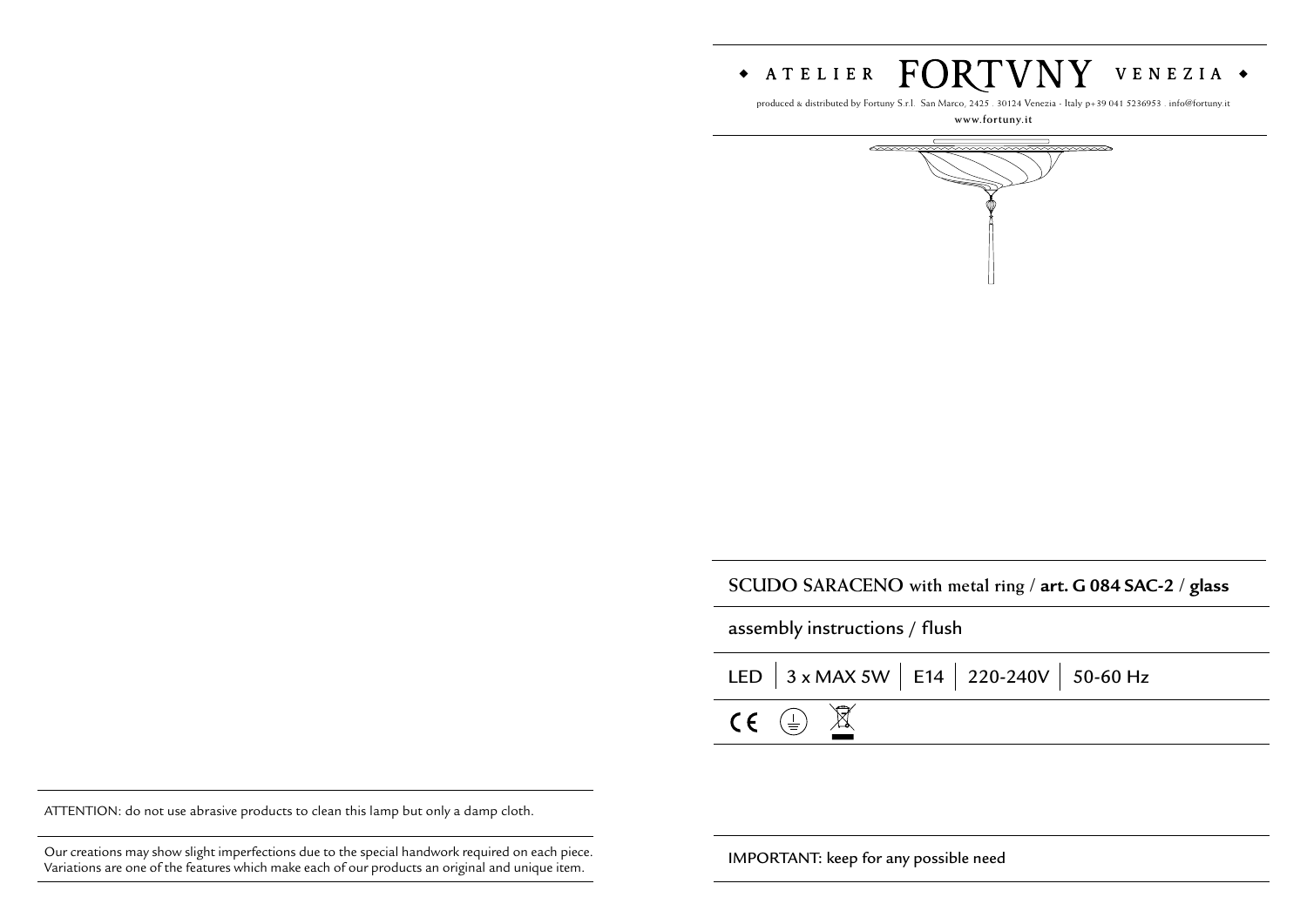

produced & distributed by Fortuny S.r.l. San Marco, 2425 . 30124 Venezia - Italy p+39 041 5236953 . info@fortuny.it

**www.fortuny.it**



**SCUDO SARACENO with metal ring / art. G 084 SAC-2 / glass**

assembly instructions / flush

|                                   | LED $\Big $ 3 x MAX 5W $\Big $ E14 $\Big $ 220-240V $\Big $ 50-60 Hz |  |
|-----------------------------------|----------------------------------------------------------------------|--|
| $CE \oplus \overline{\mathbb{X}}$ |                                                                      |  |

ATTENTION: do not use abrasive products to clean this lamp but only a damp cloth.

Our creations may show slight imperfections due to the special handwork required on each piece. **IMPORTANT:** keep for any possible need Variations are one of the features which make each of our products an original and unique item.